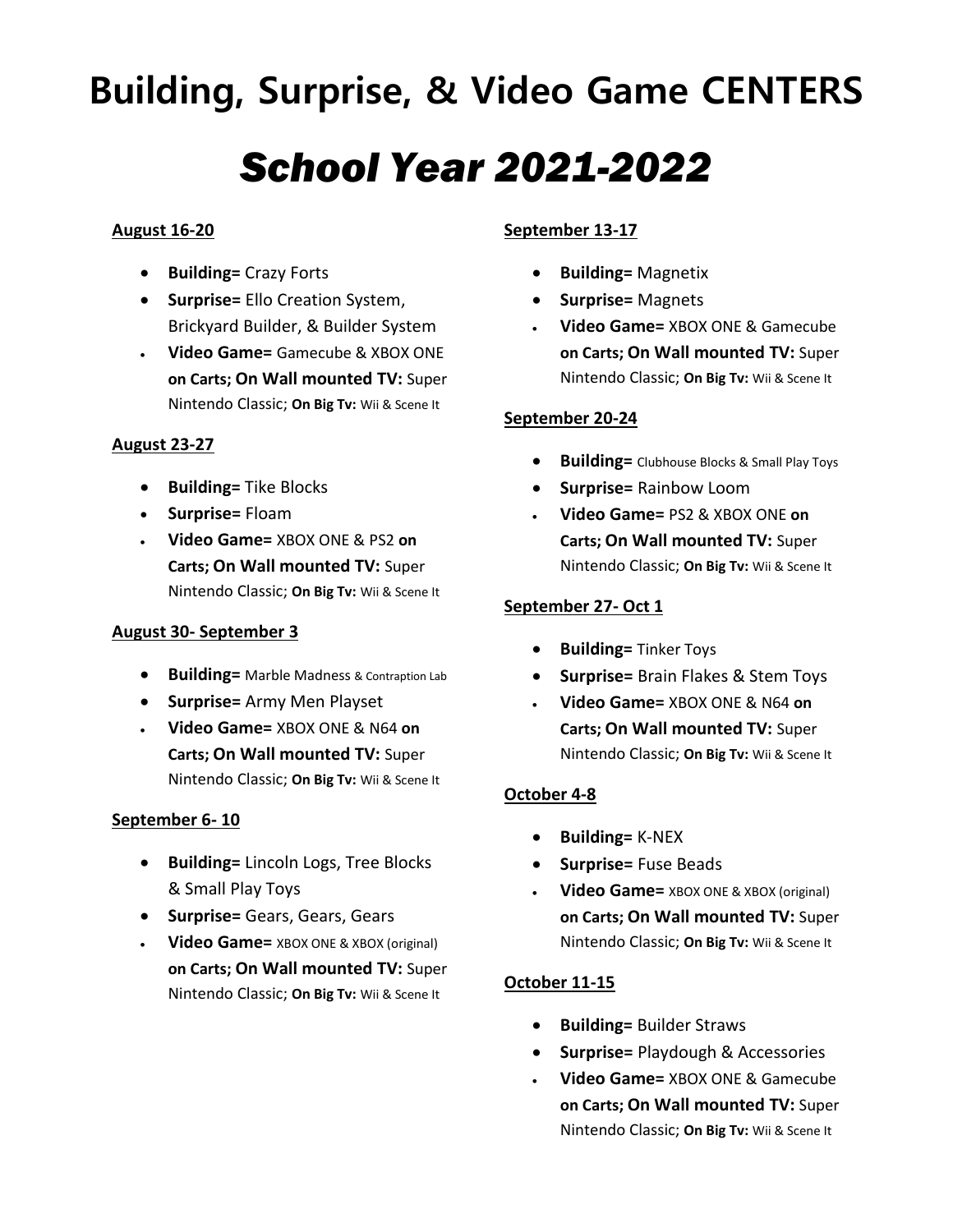# **Building, Surprise, & Video Game CENTERS**

# *School Year 2021-2022*

# **August 16-20**

- **Building=** Crazy Forts
- **Surprise=** Ello Creation System, Brickyard Builder, & Builder System
- **Video Game=** Gamecube & XBOX ONE **on Carts; On Wall mounted TV:** Super Nintendo Classic; **On Big Tv:** Wii & Scene It

# **August 23-27**

- **•** Building= Tike Blocks
- **Surprise=** Floam
- **Video Game=** XBOX ONE & PS2 **on Carts; On Wall mounted TV:** Super Nintendo Classic; **On Big Tv:** Wii & Scene It

# **August 30- September 3**

- **Building=** Marble Madness & Contraption Lab
- **Surprise=** Army Men Playset
- **Video Game=** XBOX ONE & N64 **on Carts; On Wall mounted TV:** Super Nintendo Classic; **On Big Tv:** Wii & Scene It

# **September 6- 10**

- **Building=** Lincoln Logs, Tree Blocks & Small Play Toys
- **Surprise=** Gears, Gears, Gears
- **Video Game=** XBOX ONE & XBOX (original) **on Carts; On Wall mounted TV:** Super Nintendo Classic; **On Big Tv:** Wii & Scene It

# **September 13-17**

- **Building=** Magnetix
- **Surprise=** Magnets
- **Video Game=** XBOX ONE & Gamecube **on Carts; On Wall mounted TV:** Super Nintendo Classic; **On Big Tv:** Wii & Scene It

# **September 20-24**

- **Building=** Clubhouse Blocks & Small Play Toys
- **Surprise=** Rainbow Loom
- **Video Game=** PS2 & XBOX ONE **on Carts; On Wall mounted TV:** Super Nintendo Classic; **On Big Tv:** Wii & Scene It

# **September 27- Oct 1**

- **Building=** Tinker Toys
- **Surprise=** Brain Flakes & Stem Toys
- **Video Game=** XBOX ONE & N64 **on Carts; On Wall mounted TV:** Super Nintendo Classic; **On Big Tv:** Wii & Scene It

# **October 4-8**

- **Building=** K-NEX
- **•** Surprise= Fuse Beads
- **Video Game=** XBOX ONE & XBOX (original) **on Carts; On Wall mounted TV:** Super Nintendo Classic; **On Big Tv:** Wii & Scene It

# **October 11-15**

- **Building=** Builder Straws
- **Surprise=** Playdough & Accessories
- **Video Game=** XBOX ONE & Gamecube **on Carts; On Wall mounted TV:** Super Nintendo Classic; **On Big Tv:** Wii & Scene It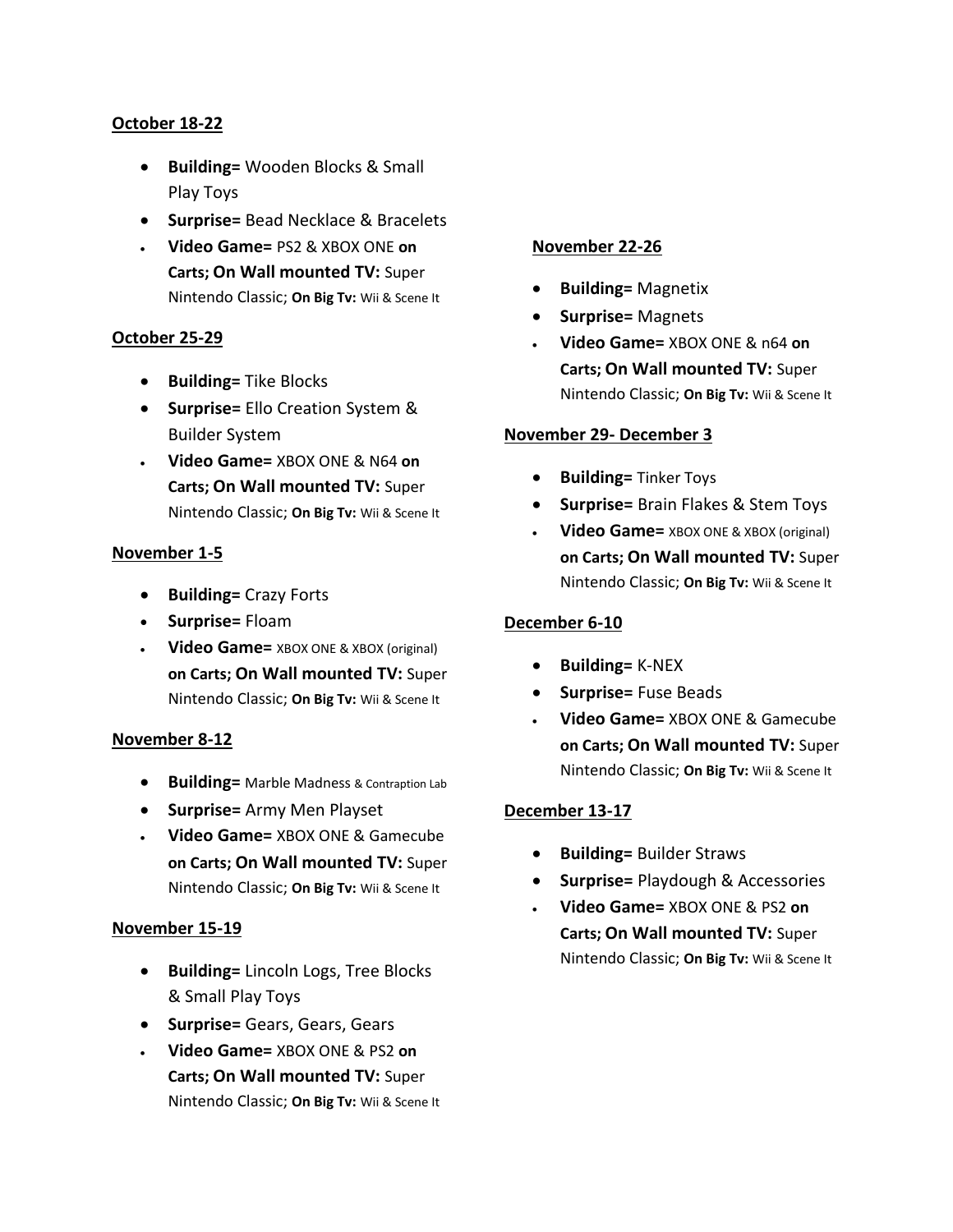## **October 18-22**

- **Building=** Wooden Blocks & Small Play Toys
- **Surprise=** Bead Necklace & Bracelets
- **Video Game=** PS2 & XBOX ONE **on Carts; On Wall mounted TV:** Super Nintendo Classic; **On Big Tv:** Wii & Scene It

#### **October 25-29**

- **•** Building= Tike Blocks
- **Surprise=** Ello Creation System & Builder System
- **Video Game=** XBOX ONE & N64 **on Carts; On Wall mounted TV:** Super Nintendo Classic; **On Big Tv:** Wii & Scene It

#### **November 1-5**

- **Building=** Crazy Forts
- **Surprise=** Floam
- **Video Game=** XBOX ONE & XBOX (original) **on Carts; On Wall mounted TV:** Super Nintendo Classic; **On Big Tv:** Wii & Scene It

#### **November 8-12**

- **Building=** Marble Madness & Contraption Lab
- **Surprise=** Army Men Playset
- **Video Game=** XBOX ONE & Gamecube **on Carts; On Wall mounted TV:** Super Nintendo Classic; **On Big Tv:** Wii & Scene It

#### **November 15-19**

- **Building=** Lincoln Logs, Tree Blocks & Small Play Toys
- **Surprise=** Gears, Gears, Gears
- **Video Game=** XBOX ONE & PS2 **on Carts; On Wall mounted TV:** Super Nintendo Classic; **On Big Tv:** Wii & Scene It

#### **November 22-26**

- **Building=** Magnetix
- **Surprise=** Magnets
- **Video Game=** XBOX ONE & n64 **on Carts; On Wall mounted TV:** Super Nintendo Classic; **On Big Tv:** Wii & Scene It

#### **November 29- December 3**

- **Building=** Tinker Toys
- **Surprise=** Brain Flakes & Stem Toys
- **Video Game=** XBOX ONE & XBOX (original) **on Carts; On Wall mounted TV:** Super Nintendo Classic; **On Big Tv:** Wii & Scene It

#### **December 6-10**

- **Building=** K-NEX
- **•** Surprise= Fuse Beads
- **Video Game=** XBOX ONE & Gamecube **on Carts; On Wall mounted TV:** Super Nintendo Classic; **On Big Tv:** Wii & Scene It

#### **December 13-17**

- **Building=** Builder Straws
- **Surprise=** Playdough & Accessories
- **Video Game=** XBOX ONE & PS2 **on Carts; On Wall mounted TV:** Super Nintendo Classic; **On Big Tv:** Wii & Scene It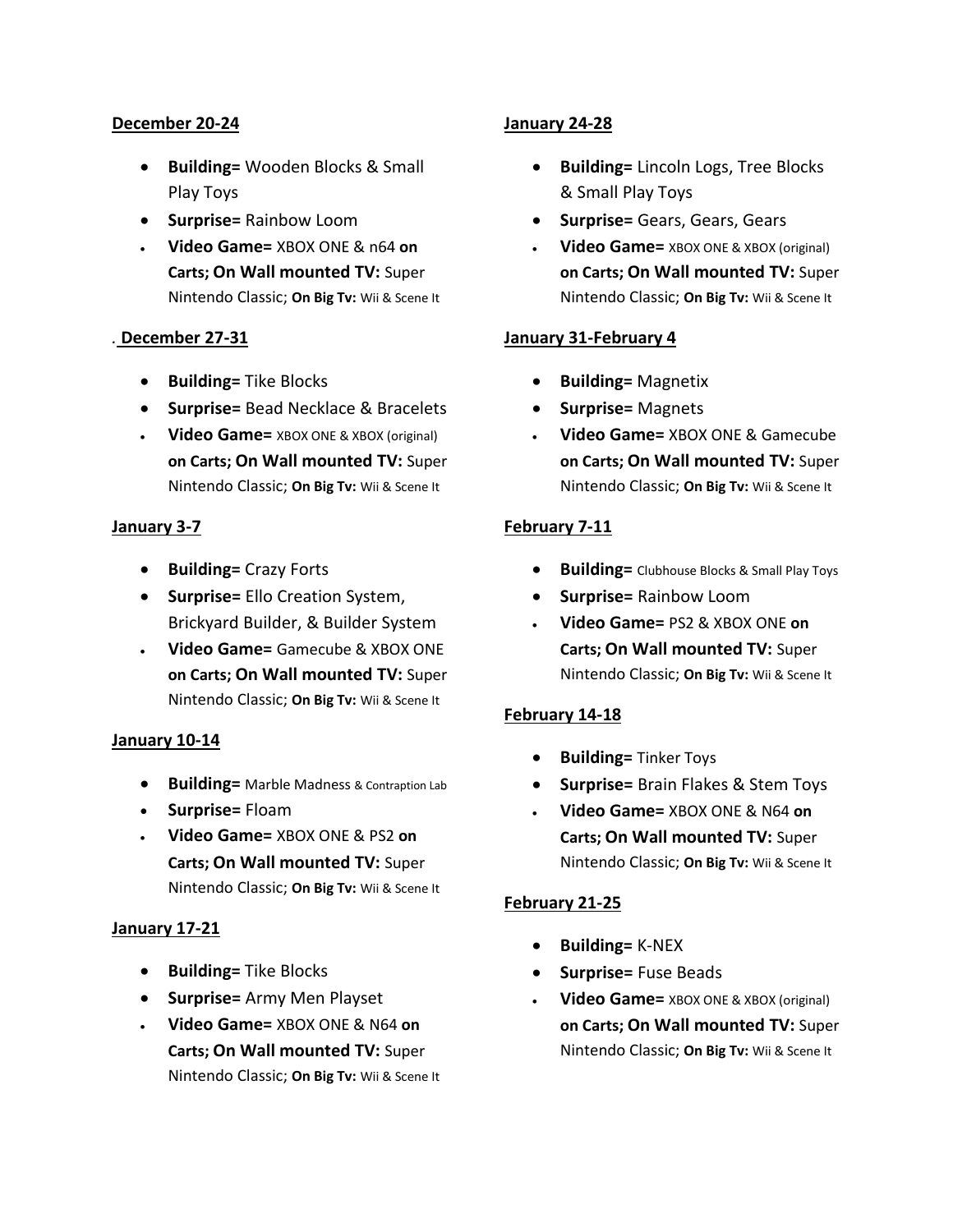#### **December 20-24**

- **Building=** Wooden Blocks & Small Play Toys
- **•** Surprise= Rainbow Loom
- **Video Game=** XBOX ONE & n64 **on Carts; On Wall mounted TV:** Super Nintendo Classic; **On Big Tv:** Wii & Scene It

#### *.* **December 27-31**

- **•** Building= Tike Blocks
- **Surprise=** Bead Necklace & Bracelets
- **Video Game=** XBOX ONE & XBOX (original) **on Carts; On Wall mounted TV:** Super Nintendo Classic; **On Big Tv:** Wii & Scene It

#### **January 3-7**

- **Building=** Crazy Forts
- **Surprise=** Ello Creation System, Brickyard Builder, & Builder System
- **Video Game=** Gamecube & XBOX ONE **on Carts; On Wall mounted TV:** Super Nintendo Classic; **On Big Tv:** Wii & Scene It

#### **January 10-14**

- **Building=** Marble Madness & Contraption Lab
- **Surprise=** Floam
- **Video Game=** XBOX ONE & PS2 **on Carts; On Wall mounted TV:** Super Nintendo Classic; **On Big Tv:** Wii & Scene It

#### **January 17-21**

- **•** Building= Tike Blocks
- **Surprise=** Army Men Playset
- **Video Game=** XBOX ONE & N64 **on Carts; On Wall mounted TV:** Super Nintendo Classic; **On Big Tv:** Wii & Scene It

#### **January 24-28**

- **Building=** Lincoln Logs, Tree Blocks & Small Play Toys
- **Surprise=** Gears, Gears, Gears
- **Video Game=** XBOX ONE & XBOX (original) **on Carts; On Wall mounted TV:** Super Nintendo Classic; **On Big Tv:** Wii & Scene It

#### **January 31-February 4**

- **Building=** Magnetix
- **Surprise=** Magnets
- **Video Game=** XBOX ONE & Gamecube **on Carts; On Wall mounted TV:** Super Nintendo Classic; **On Big Tv:** Wii & Scene It

#### **February 7-11**

- **Building=** Clubhouse Blocks & Small Play Toys
- **•** Surprise= Rainbow Loom
- **Video Game=** PS2 & XBOX ONE **on Carts; On Wall mounted TV:** Super Nintendo Classic; **On Big Tv:** Wii & Scene It

#### **February 14-18**

- **Building=** Tinker Toys
- **Surprise=** Brain Flakes & Stem Toys
- **Video Game=** XBOX ONE & N64 **on Carts; On Wall mounted TV:** Super Nintendo Classic; **On Big Tv:** Wii & Scene It

#### **February 21-25**

- **Building=** K-NEX
- **Surprise=** Fuse Beads
- **Video Game=** XBOX ONE & XBOX (original) **on Carts; On Wall mounted TV:** Super Nintendo Classic; **On Big Tv:** Wii & Scene It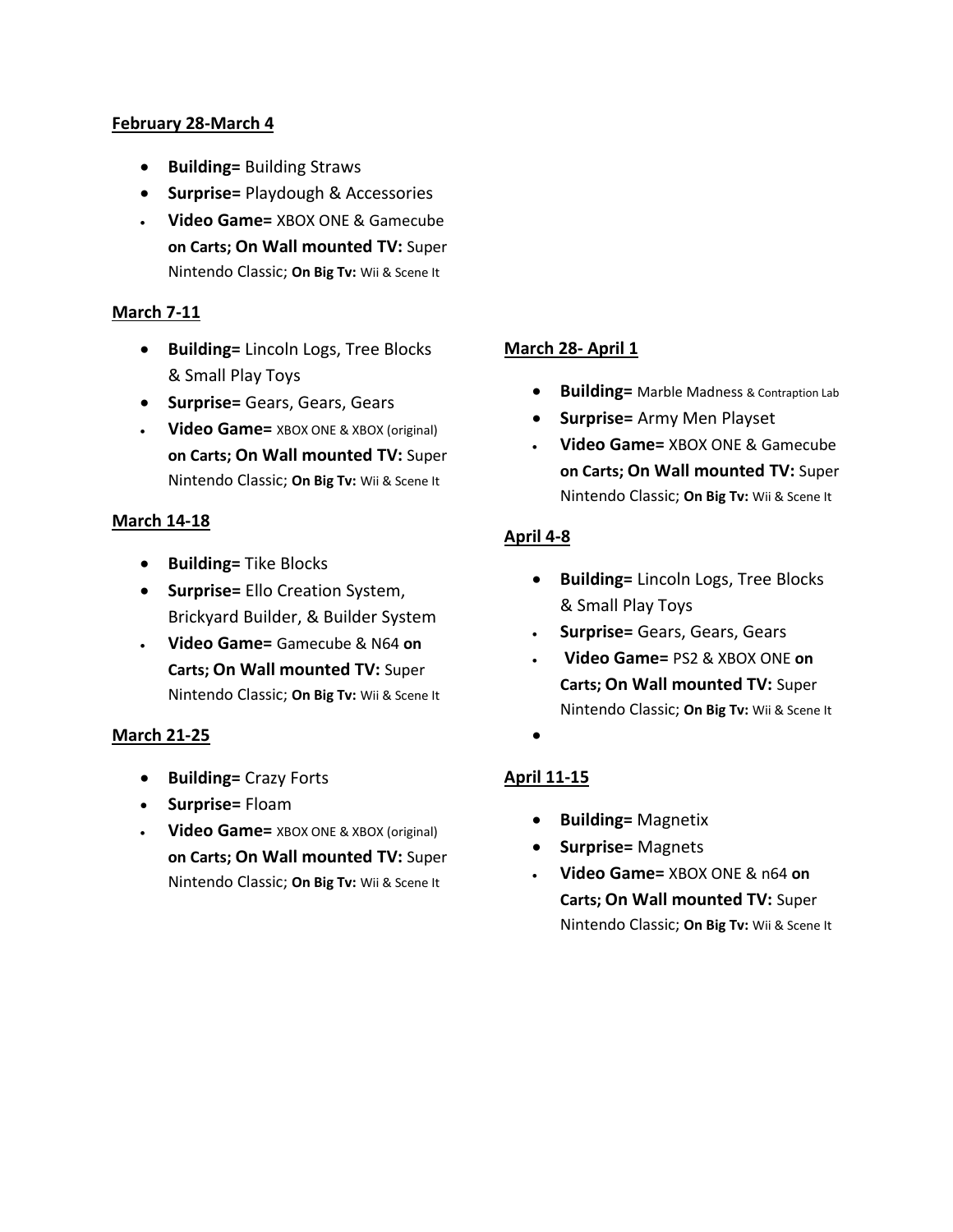#### **February 28-March 4**

- **Building=** Building Straws
- **Surprise=** Playdough & Accessories
- **Video Game=** XBOX ONE & Gamecube **on Carts; On Wall mounted TV:** Super Nintendo Classic; **On Big Tv:** Wii & Scene It

# **March 7-11**

- **Building=** Lincoln Logs, Tree Blocks & Small Play Toys
- **Surprise=** Gears, Gears, Gears
- **Video Game=** XBOX ONE & XBOX (original) **on Carts; On Wall mounted TV:** Super Nintendo Classic; **On Big Tv:** Wii & Scene It

# **March 14-18**

- **Building=** Tike Blocks
- **Surprise=** Ello Creation System, Brickyard Builder, & Builder System
- **Video Game=** Gamecube & N64 **on Carts; On Wall mounted TV:** Super Nintendo Classic; **On Big Tv:** Wii & Scene It

# **March 21-25**

- **Building=** Crazy Forts
- **Surprise=** Floam
- **Video Game=** XBOX ONE & XBOX (original) **on Carts; On Wall mounted TV:** Super Nintendo Classic; **On Big Tv:** Wii & Scene It

## **March 28- April 1**

- **Building=** Marble Madness & Contraption Lab
- **Surprise=** Army Men Playset
- **Video Game=** XBOX ONE & Gamecube **on Carts; On Wall mounted TV:** Super Nintendo Classic; **On Big Tv:** Wii & Scene It

# **April 4-8**

- **Building=** Lincoln Logs, Tree Blocks & Small Play Toys
- **Surprise=** Gears, Gears, Gears
- **Video Game=** PS2 & XBOX ONE **on Carts; On Wall mounted TV:** Super Nintendo Classic; **On Big Tv:** Wii & Scene It
- $\bullet$

# **April 11-15**

- **Building=** Magnetix
- **•** Surprise= Magnets
- **Video Game=** XBOX ONE & n64 **on Carts; On Wall mounted TV:** Super Nintendo Classic; **On Big Tv:** Wii & Scene It